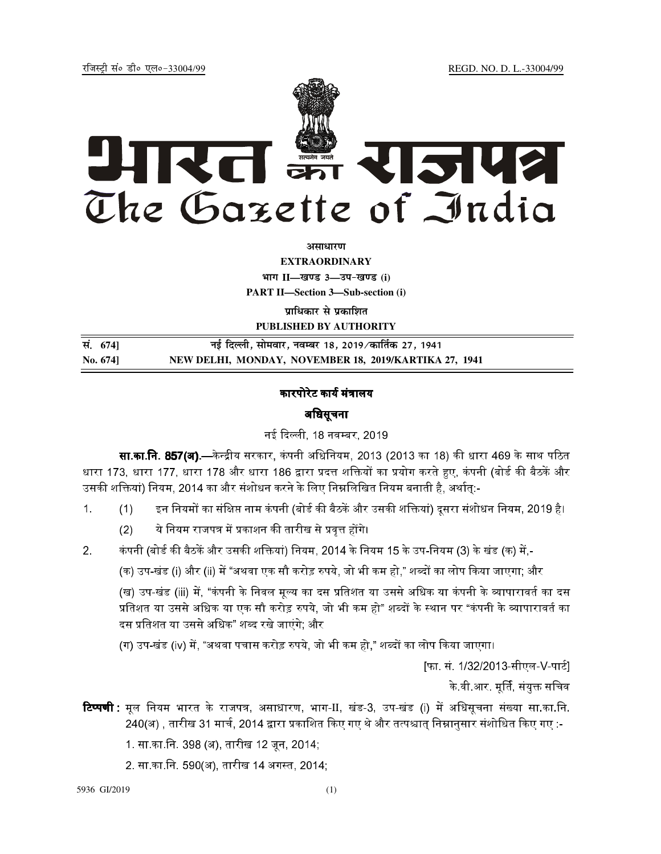jftLVªh laö Mhö ,yö&33004@99 REGD. NO. D. L.-33004/99



**vlk/kj.k**

**EXTRAORDINARY Hkkx II—[k.M 3—mi&[k.M (i)**

**PART II—Section 3—Sub-section (i)** 

**प्राधिकार से प्रकाशित PUBLISHED BY AUTHORITY**

**la- 674] ubZ fnYyh] lkseokj] uoEcj 18] 2019@dkfrZd 27] 1941 No. 674] NEW DELHI, MONDAY, NOVEMBER 18, 2019/KARTIKA 27, 1941**

## कारपोरेट कार्य मंत्रालय

# अधिसूचना

नई दिल्ली, 18 नवम्बर, 2019.

**सा.का.नि. 857(अ).**—केन्द्रीय सरकार, कंपनी अधिनियम, 2013 (2013 का 18) की धारा 469 के साथ पठित धारा 173, धारा 177, धारा 178 और धारा 186 द्वारा प्रदत्त शक्तियों का प्रयोग करते हुए, कंपनी (बोर्ड की बैठकें और उसकी शक्तियां) नियम, 2014 का और संशोधन करने के लिए निम्नलिखित नियम बनाती है, अर्थातु:-

- 1. (1) इन नियमों का संक्षिप्त नाम कंपनी (बोर्ड की बैठकें और उसकी शक्तियां) दूसरा संशोधन नियम, 2019 है।
	- <u>(2) ये नियम राजपत्र में प्रकाशन की तारीख से प्रवत्त होंगे।</u>
- 2. कंपनी (बोर्ड की बैठकें और उसकी शक्तियां) नियम, 2014 के नियम 15 के उप-नियम (3) के खंड (क) में.-

(क) उप-खंड (i) और (ii) में "अथवा एक सौ करोड रुपये. जो भी कम हो." शब्दों का लोप किया जाएगा: और

(ख) उप-खंड (iii) में. "कंपनी के निवल मल्य का दस प्रतिशत या उससे अधिक या कंपनी के व्यापारावर्त का दस प्रतिशत या उससे अधिक या एक सौ करोड़ रुपये. जो भी कम हो" शब्दों के स्थान पर "कंपनी के व्यापारावर्त का दस प्रतिशत या उससे अधिक" शब्द रखे जाएंगे: और

(ग) उप-खंड (iv) में, "अथवा पचास करोड़ रुपये, जो भी कम हो." शब्दों का लोप किया जाएगा।

[फा. सं. 1/32/2013-सीएल-V-पार्ट]

के वी आर. मर्ति, संयक्त सचिव<sup>1</sup>

**टिप्पणी :** मूल नियम भारत के राजपत्र, असाधारण, भाग-II, खंड-3, उप-खंड (i) में अधिसूचना संख्या सा.का.नि. 240(अ) , तारीख 31 मार्च, 2014 द्वारा प्रकाशित किए गए थे और तत्पश्चात् निम्नानुसार संशोधित किए गए :-

1. सा.का.िन. 398 (अ), तारीख 12 जून, 2014;

2. सा.का.नि. 590(अ), तारीख 14 अगस्त, 2014,

5936 GI/2019 (1)